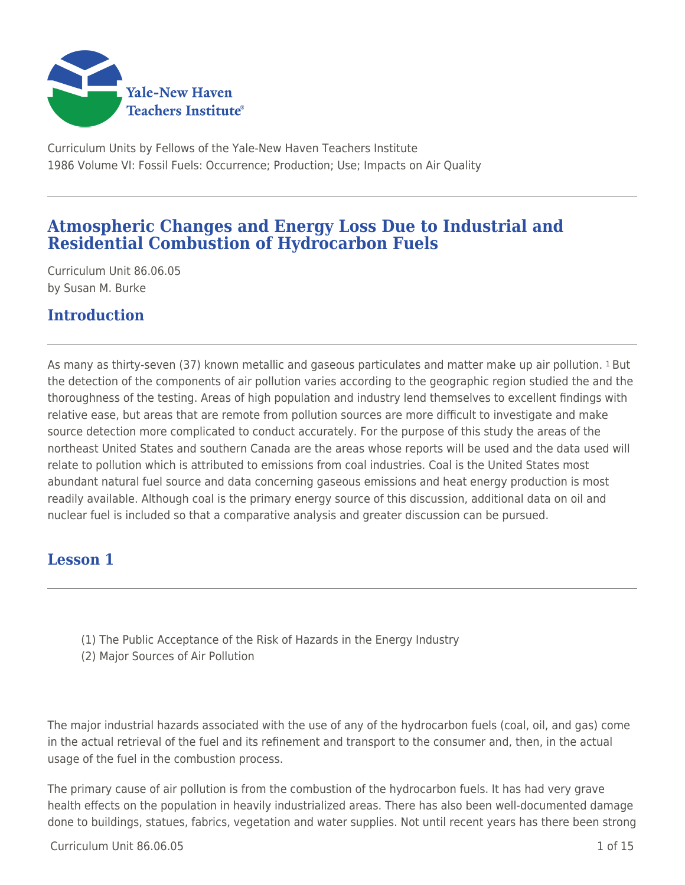

Curriculum Units by Fellows of the Yale-New Haven Teachers Institute 1986 Volume VI: Fossil Fuels: Occurrence; Production; Use; Impacts on Air Quality

# **Atmospheric Changes and Energy Loss Due to Industrial and Residential Combustion of Hydrocarbon Fuels**

Curriculum Unit 86.06.05 by Susan M. Burke

# **Introduction**

As many as thirty-seven (37) known metallic and gaseous particulates and matter make up air pollution. 1 But the detection of the components of air pollution varies according to the geographic region studied the and the thoroughness of the testing. Areas of high population and industry lend themselves to excellent findings with relative ease, but areas that are remote from pollution sources are more difficult to investigate and make source detection more complicated to conduct accurately. For the purpose of this study the areas of the northeast United States and southern Canada are the areas whose reports will be used and the data used will relate to pollution which is attributed to emissions from coal industries. Coal is the United States most abundant natural fuel source and data concerning gaseous emissions and heat energy production is most readily available. Although coal is the primary energy source of this discussion, additional data on oil and nuclear fuel is included so that a comparative analysis and greater discussion can be pursued.

## **Lesson 1**

- (1) The Public Acceptance of the Risk of Hazards in the Energy Industry
- (2) Major Sources of Air Pollution

The major industrial hazards associated with the use of any of the hydrocarbon fuels (coal, oil, and gas) come in the actual retrieval of the fuel and its refinement and transport to the consumer and, then, in the actual usage of the fuel in the combustion process.

The primary cause of air pollution is from the combustion of the hydrocarbon fuels. It has had very grave health effects on the population in heavily industrialized areas. There has also been well-documented damage done to buildings, statues, fabrics, vegetation and water supplies. Not until recent years has there been strong

 $Curir$  Unit 86.06.05 1 of 15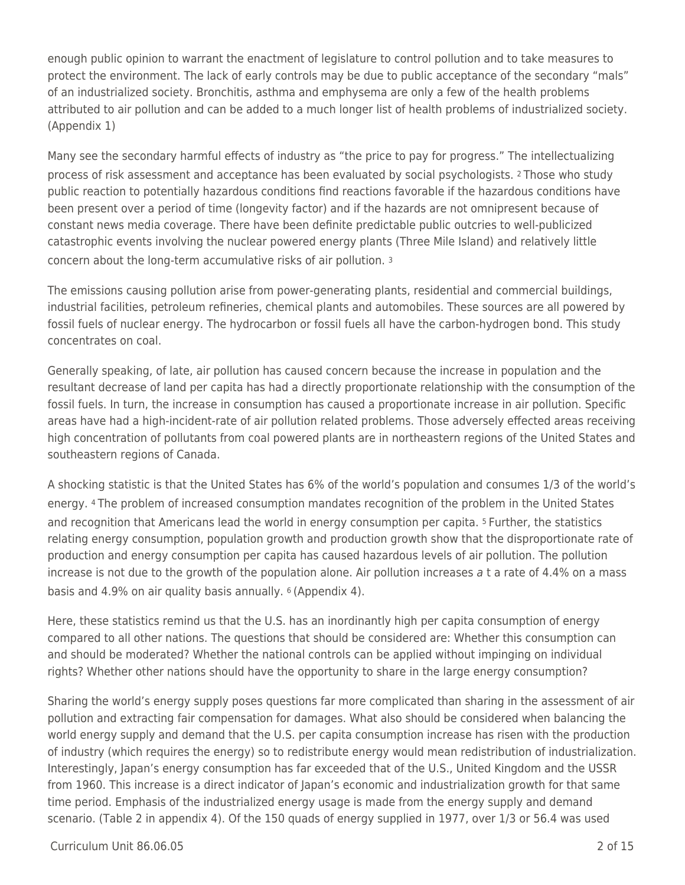enough public opinion to warrant the enactment of legislature to control pollution and to take measures to protect the environment. The lack of early controls may be due to public acceptance of the secondary "mals" of an industrialized society. Bronchitis, asthma and emphysema are only a few of the health problems attributed to air pollution and can be added to a much longer list of health problems of industrialized society. (Appendix 1)

Many see the secondary harmful effects of industry as "the price to pay for progress." The intellectualizing process of risk assessment and acceptance has been evaluated by social psychologists. 2 Those who study public reaction to potentially hazardous conditions find reactions favorable if the hazardous conditions have been present over a period of time (longevity factor) and if the hazards are not omnipresent because of constant news media coverage. There have been definite predictable public outcries to well-publicized catastrophic events involving the nuclear powered energy plants (Three Mile Island) and relatively little concern about the long-term accumulative risks of air pollution. <sup>3</sup>

The emissions causing pollution arise from power-generating plants, residential and commercial buildings, industrial facilities, petroleum refineries, chemical plants and automobiles. These sources are all powered by fossil fuels of nuclear energy. The hydrocarbon or fossil fuels all have the carbon-hydrogen bond. This study concentrates on coal.

Generally speaking, of late, air pollution has caused concern because the increase in population and the resultant decrease of land per capita has had a directly proportionate relationship with the consumption of the fossil fuels. In turn, the increase in consumption has caused a proportionate increase in air pollution. Specific areas have had a high-incident-rate of air pollution related problems. Those adversely effected areas receiving high concentration of pollutants from coal powered plants are in northeastern regions of the United States and southeastern regions of Canada.

A shocking statistic is that the United States has 6% of the world's population and consumes 1/3 of the world's energy. 4 The problem of increased consumption mandates recognition of the problem in the United States and recognition that Americans lead the world in energy consumption per capita. 5 Further, the statistics relating energy consumption, population growth and production growth show that the disproportionate rate of production and energy consumption per capita has caused hazardous levels of air pollution. The pollution increase is not due to the growth of the population alone. Air pollution increases  $a$  t a rate of 4.4% on a mass basis and 4.9% on air quality basis annually. 6 (Appendix 4).

Here, these statistics remind us that the U.S. has an inordinantly high per capita consumption of energy compared to all other nations. The questions that should be considered are: Whether this consumption can and should be moderated? Whether the national controls can be applied without impinging on individual rights? Whether other nations should have the opportunity to share in the large energy consumption?

Sharing the world's energy supply poses questions far more complicated than sharing in the assessment of air pollution and extracting fair compensation for damages. What also should be considered when balancing the world energy supply and demand that the U.S. per capita consumption increase has risen with the production of industry (which requires the energy) so to redistribute energy would mean redistribution of industrialization. Interestingly, Japan's energy consumption has far exceeded that of the U.S., United Kingdom and the USSR from 1960. This increase is a direct indicator of Japan's economic and industrialization growth for that same time period. Emphasis of the industrialized energy usage is made from the energy supply and demand scenario. (Table 2 in appendix 4). Of the 150 quads of energy supplied in 1977, over 1/3 or 56.4 was used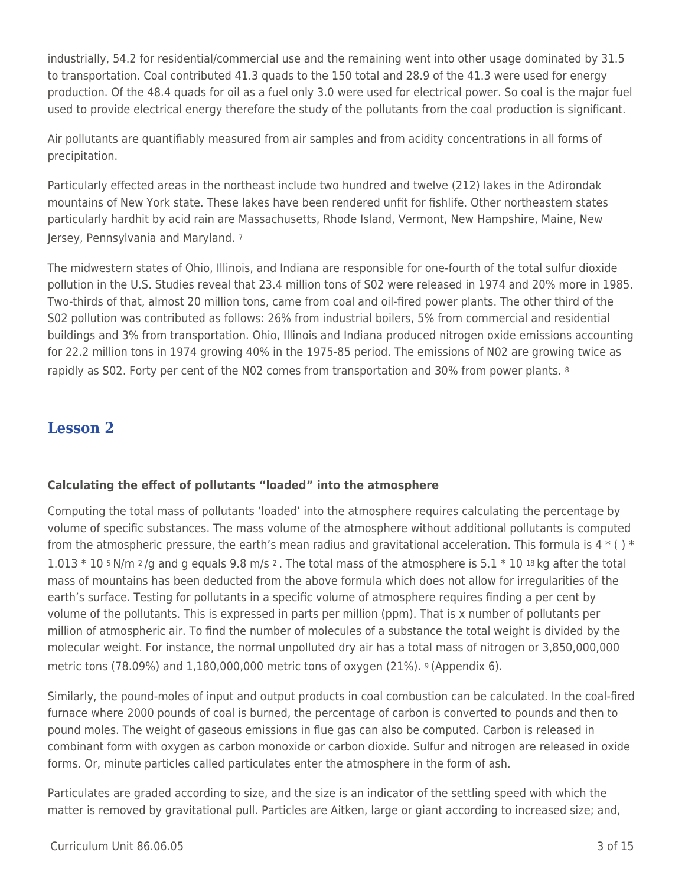industrially, 54.2 for residential/commercial use and the remaining went into other usage dominated by 31.5 to transportation. Coal contributed 41.3 quads to the 150 total and 28.9 of the 41.3 were used for energy production. Of the 48.4 quads for oil as a fuel only 3.0 were used for electrical power. So coal is the major fuel used to provide electrical energy therefore the study of the pollutants from the coal production is significant.

Air pollutants are quantifiably measured from air samples and from acidity concentrations in all forms of precipitation.

Particularly effected areas in the northeast include two hundred and twelve (212) lakes in the Adirondak mountains of New York state. These lakes have been rendered unfit for fishlife. Other northeastern states particularly hardhit by acid rain are Massachusetts, Rhode Island, Vermont, New Hampshire, Maine, New Jersey, Pennsylvania and Maryland. <sup>7</sup>

The midwestern states of Ohio, Illinois, and Indiana are responsible for one-fourth of the total sulfur dioxide pollution in the U.S. Studies reveal that 23.4 million tons of S02 were released in 1974 and 20% more in 1985. Two-thirds of that, almost 20 million tons, came from coal and oil-fired power plants. The other third of the S02 pollution was contributed as follows: 26% from industrial boilers, 5% from commercial and residential buildings and 3% from transportation. Ohio, Illinois and Indiana produced nitrogen oxide emissions accounting for 22.2 million tons in 1974 growing 40% in the 1975-85 period. The emissions of N02 are growing twice as rapidly as S02. Forty per cent of the N02 comes from transportation and 30% from power plants. 8

## **Lesson 2**

#### **Calculating the effect of pollutants "loaded" into the atmosphere**

Computing the total mass of pollutants 'loaded' into the atmosphere requires calculating the percentage by volume of specific substances. The mass volume of the atmosphere without additional pollutants is computed from the atmospheric pressure, the earth's mean radius and gravitational acceleration. This formula is  $4*(1)*$ 1.013  $*$  10 5 N/m  $2/q$  and g equals 9.8 m/s  $2$ . The total mass of the atmosphere is 5.1  $*$  10 18 kg after the total mass of mountains has been deducted from the above formula which does not allow for irregularities of the earth's surface. Testing for pollutants in a specific volume of atmosphere requires finding a per cent by volume of the pollutants. This is expressed in parts per million (ppm). That is x number of pollutants per million of atmospheric air. To find the number of molecules of a substance the total weight is divided by the molecular weight. For instance, the normal unpolluted dry air has a total mass of nitrogen or 3,850,000,000 metric tons (78.09%) and 1,180,000,000 metric tons of oxygen (21%). 9 (Appendix 6).

Similarly, the pound-moles of input and output products in coal combustion can be calculated. In the coal-fired furnace where 2000 pounds of coal is burned, the percentage of carbon is converted to pounds and then to pound moles. The weight of gaseous emissions in flue gas can also be computed. Carbon is released in combinant form with oxygen as carbon monoxide or carbon dioxide. Sulfur and nitrogen are released in oxide forms. Or, minute particles called particulates enter the atmosphere in the form of ash.

Particulates are graded according to size, and the size is an indicator of the settling speed with which the matter is removed by gravitational pull. Particles are Aitken, large or giant according to increased size; and,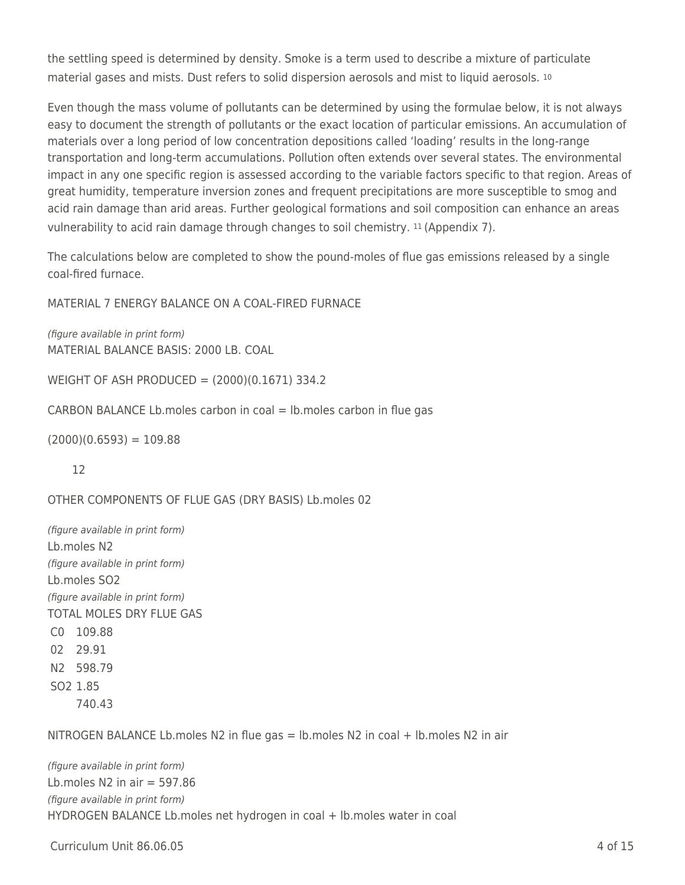the settling speed is determined by density. Smoke is a term used to describe a mixture of particulate material gases and mists. Dust refers to solid dispersion aerosols and mist to liquid aerosols. <sup>10</sup>

Even though the mass volume of pollutants can be determined by using the formulae below, it is not always easy to document the strength of pollutants or the exact location of particular emissions. An accumulation of materials over a long period of low concentration depositions called 'loading' results in the long-range transportation and long-term accumulations. Pollution often extends over several states. The environmental impact in any one specific region is assessed according to the variable factors specific to that region. Areas of great humidity, temperature inversion zones and frequent precipitations are more susceptible to smog and acid rain damage than arid areas. Further geological formations and soil composition can enhance an areas vulnerability to acid rain damage through changes to soil chemistry. 11 (Appendix 7).

The calculations below are completed to show the pound-moles of flue gas emissions released by a single coal-fired furnace.

MATERIAL 7 ENERGY BALANCE ON A COAL-FIRED FURNACE

(figure available in print form) MATERIAL BALANCE BASIS: 2000 LB. COAL

WEIGHT OF ASH PRODUCED = (2000)(0.1671) 334.2

CARBON BALANCE Lb. moles carbon in coal  $=$  lb. moles carbon in flue gas

 $(2000)(0.6593) = 109.88$ 

12

OTHER COMPONENTS OF FLUE GAS (DRY BASIS) Lb.moles 02

(figure available in print form) Lb.moles N2 (figure available in print form) Lb.moles SO2 (figure available in print form) TOTAL MOLES DRY FLUE GAS C0 109.88 02 29.91 N2 598.79 SO2 1.85 740.43

NITROGEN BALANCE Lb.moles N2 in flue gas = lb.moles N2 in coal + lb.moles N2 in air

(figure available in print form) Lb.moles N2 in air  $=$  597.86 (figure available in print form) HYDROGEN BALANCE Lb.moles net hydrogen in coal + lb.moles water in coal

Curriculum Unit 86.06.05 4 of 15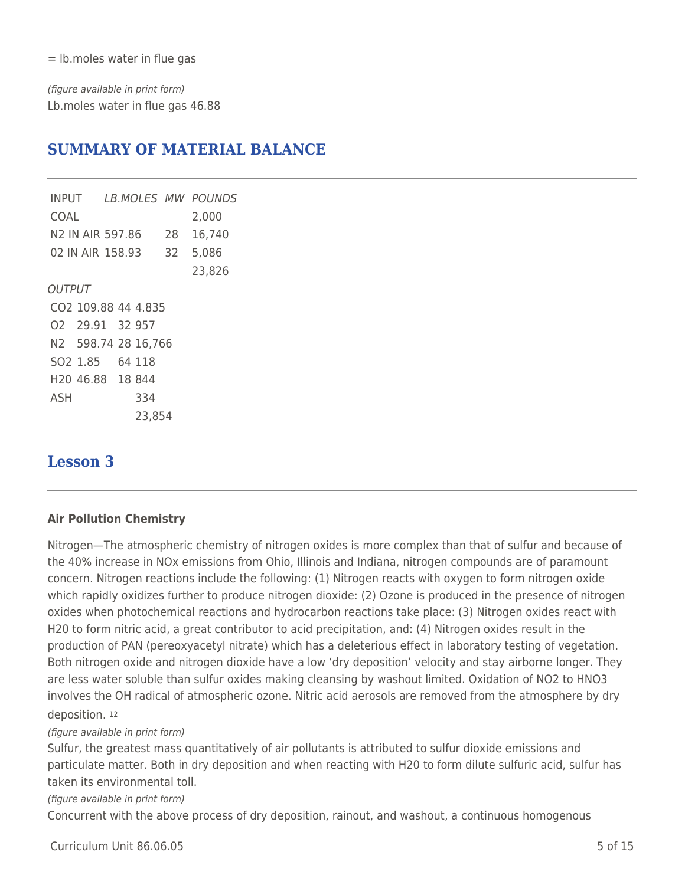= lb.moles water in flue gas

(figure available in print form) Lb.moles water in flue gas 46.88

# **SUMMARY OF MATERIAL BALANCE**

INPUT LB.MOLES MW POUNDS COAL 2,000 N2 IN AIR 597.86 28 16,740 02 IN AIR 158.93 32 5,086 23,826 **OUTPUT** CO2 109.88 44 4.835 O2 29.91 32 957 N2 598.74 28 16,766 SO2 1.85 64 118 H20 46.88 18 844 ASH 334 23,854

# **Lesson 3**

#### **Air Pollution Chemistry**

Nitrogen—The atmospheric chemistry of nitrogen oxides is more complex than that of sulfur and because of the 40% increase in NOx emissions from Ohio, Illinois and Indiana, nitrogen compounds are of paramount concern. Nitrogen reactions include the following: (1) Nitrogen reacts with oxygen to form nitrogen oxide which rapidly oxidizes further to produce nitrogen dioxide: (2) Ozone is produced in the presence of nitrogen oxides when photochemical reactions and hydrocarbon reactions take place: (3) Nitrogen oxides react with H20 to form nitric acid, a great contributor to acid precipitation, and: (4) Nitrogen oxides result in the production of PAN (pereoxyacetyl nitrate) which has a deleterious effect in laboratory testing of vegetation. Both nitrogen oxide and nitrogen dioxide have a low 'dry deposition' velocity and stay airborne longer. They are less water soluble than sulfur oxides making cleansing by washout limited. Oxidation of NO2 to HNO3 involves the OH radical of atmospheric ozone. Nitric acid aerosols are removed from the atmosphere by dry deposition. <sup>12</sup>

#### (figure available in print form)

Sulfur, the greatest mass quantitatively of air pollutants is attributed to sulfur dioxide emissions and particulate matter. Both in dry deposition and when reacting with H20 to form dilute sulfuric acid, sulfur has taken its environmental toll.

(figure available in print form)

Concurrent with the above process of dry deposition, rainout, and washout, a continuous homogenous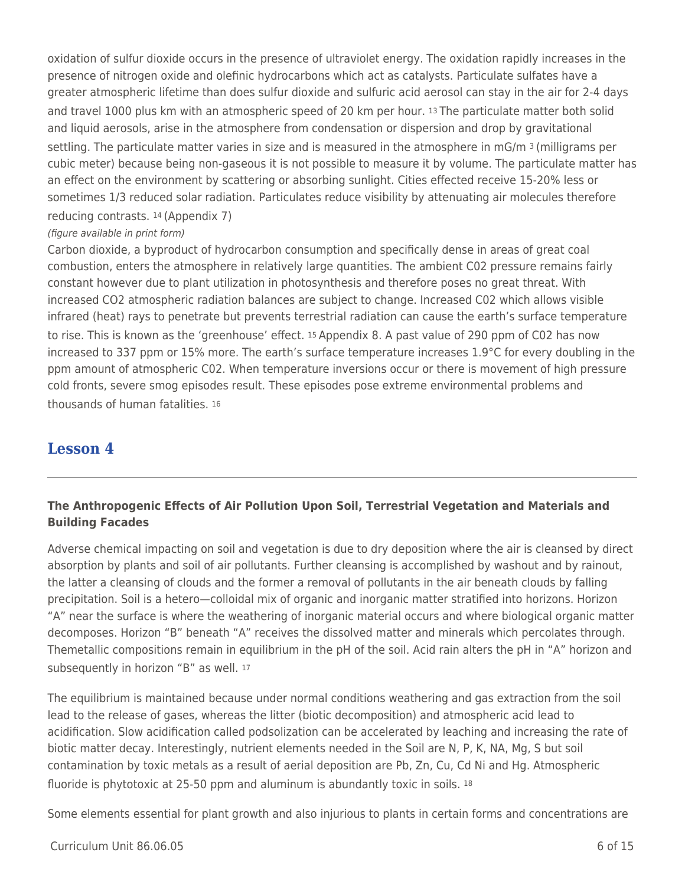oxidation of sulfur dioxide occurs in the presence of ultraviolet energy. The oxidation rapidly increases in the presence of nitrogen oxide and olefinic hydrocarbons which act as catalysts. Particulate sulfates have a greater atmospheric lifetime than does sulfur dioxide and sulfuric acid aerosol can stay in the air for 2-4 days and travel 1000 plus km with an atmospheric speed of 20 km per hour. 13 The particulate matter both solid and liquid aerosols, arise in the atmosphere from condensation or dispersion and drop by gravitational settling. The particulate matter varies in size and is measured in the atmosphere in mG/m 3 (milligrams per cubic meter) because being non-gaseous it is not possible to measure it by volume. The particulate matter has an effect on the environment by scattering or absorbing sunlight. Cities effected receive 15-20% less or sometimes 1/3 reduced solar radiation. Particulates reduce visibility by attenuating air molecules therefore reducing contrasts. 14 (Appendix 7)

#### (figure available in print form)

Carbon dioxide, a byproduct of hydrocarbon consumption and specifically dense in areas of great coal combustion, enters the atmosphere in relatively large quantities. The ambient C02 pressure remains fairly constant however due to plant utilization in photosynthesis and therefore poses no great threat. With increased CO2 atmospheric radiation balances are subject to change. Increased C02 which allows visible infrared (heat) rays to penetrate but prevents terrestrial radiation can cause the earth's surface temperature to rise. This is known as the 'greenhouse' effect. 15 Appendix 8. A past value of 290 ppm of C02 has now increased to 337 ppm or 15% more. The earth's surface temperature increases 1.9°C for every doubling in the ppm amount of atmospheric C02. When temperature inversions occur or there is movement of high pressure cold fronts, severe smog episodes result. These episodes pose extreme environmental problems and thousands of human fatalities. <sup>16</sup>

## **Lesson 4**

### **The Anthropogenic Effects of Air Pollution Upon Soil, Terrestrial Vegetation and Materials and Building Facades**

Adverse chemical impacting on soil and vegetation is due to dry deposition where the air is cleansed by direct absorption by plants and soil of air pollutants. Further cleansing is accomplished by washout and by rainout, the latter a cleansing of clouds and the former a removal of pollutants in the air beneath clouds by falling precipitation. Soil is a hetero—colloidal mix of organic and inorganic matter stratified into horizons. Horizon "A" near the surface is where the weathering of inorganic material occurs and where biological organic matter decomposes. Horizon "B" beneath "A" receives the dissolved matter and minerals which percolates through. Themetallic compositions remain in equilibrium in the pH of the soil. Acid rain alters the pH in "A" horizon and subsequently in horizon "B" as well. 17

The equilibrium is maintained because under normal conditions weathering and gas extraction from the soil lead to the release of gases, whereas the litter (biotic decomposition) and atmospheric acid lead to acidification. Slow acidification called podsolization can be accelerated by leaching and increasing the rate of biotic matter decay. Interestingly, nutrient elements needed in the Soil are N, P, K, NA, Mg, S but soil contamination by toxic metals as a result of aerial deposition are Pb, Zn, Cu, Cd Ni and Hg. Atmospheric fluoride is phytotoxic at 25-50 ppm and aluminum is abundantly toxic in soils. 18

Some elements essential for plant growth and also injurious to plants in certain forms and concentrations are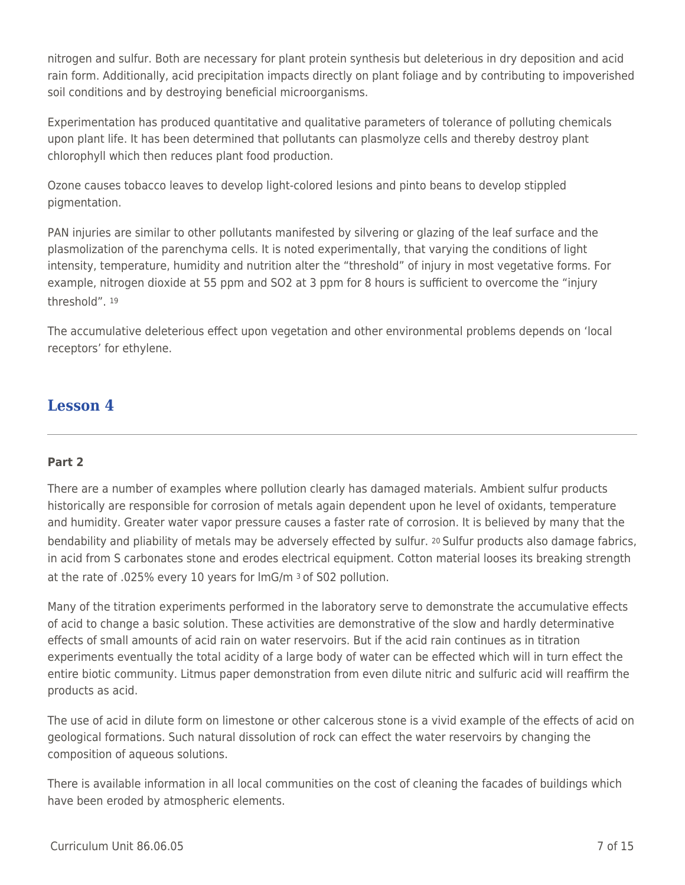nitrogen and sulfur. Both are necessary for plant protein synthesis but deleterious in dry deposition and acid rain form. Additionally, acid precipitation impacts directly on plant foliage and by contributing to impoverished soil conditions and by destroying beneficial microorganisms.

Experimentation has produced quantitative and qualitative parameters of tolerance of polluting chemicals upon plant life. It has been determined that pollutants can plasmolyze cells and thereby destroy plant chlorophyll which then reduces plant food production.

Ozone causes tobacco leaves to develop light-colored lesions and pinto beans to develop stippled pigmentation.

PAN injuries are similar to other pollutants manifested by silvering or glazing of the leaf surface and the plasmolization of the parenchyma cells. It is noted experimentally, that varying the conditions of light intensity, temperature, humidity and nutrition alter the "threshold" of injury in most vegetative forms. For example, nitrogen dioxide at 55 ppm and SO2 at 3 ppm for 8 hours is sufficient to overcome the "injury threshold". <sup>19</sup>

The accumulative deleterious effect upon vegetation and other environmental problems depends on 'local receptors' for ethylene.

## **Lesson 4**

#### **Part 2**

There are a number of examples where pollution clearly has damaged materials. Ambient sulfur products historically are responsible for corrosion of metals again dependent upon he level of oxidants, temperature and humidity. Greater water vapor pressure causes a faster rate of corrosion. It is believed by many that the bendability and pliability of metals may be adversely effected by sulfur. 20 Sulfur products also damage fabrics, in acid from S carbonates stone and erodes electrical equipment. Cotton material looses its breaking strength at the rate of .025% every 10 years for ImG/m 3 of S02 pollution.

Many of the titration experiments performed in the laboratory serve to demonstrate the accumulative effects of acid to change a basic solution. These activities are demonstrative of the slow and hardly determinative effects of small amounts of acid rain on water reservoirs. But if the acid rain continues as in titration experiments eventually the total acidity of a large body of water can be effected which will in turn effect the entire biotic community. Litmus paper demonstration from even dilute nitric and sulfuric acid will reaffirm the products as acid.

The use of acid in dilute form on limestone or other calcerous stone is a vivid example of the effects of acid on geological formations. Such natural dissolution of rock can effect the water reservoirs by changing the composition of aqueous solutions.

There is available information in all local communities on the cost of cleaning the facades of buildings which have been eroded by atmospheric elements.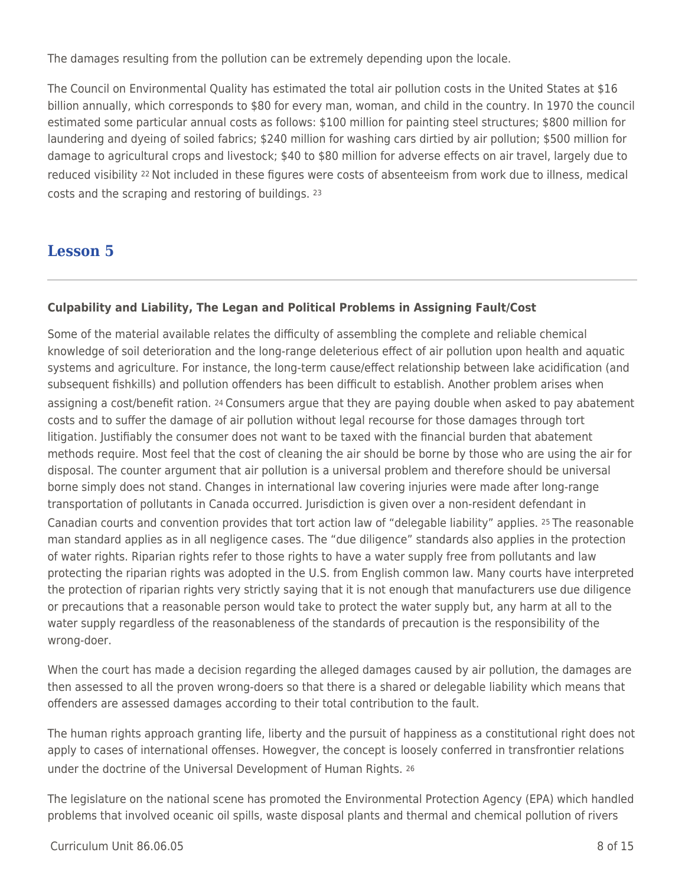The damages resulting from the pollution can be extremely depending upon the locale.

The Council on Environmental Quality has estimated the total air pollution costs in the United States at \$16 billion annually, which corresponds to \$80 for every man, woman, and child in the country. In 1970 the council estimated some particular annual costs as follows: \$100 million for painting steel structures; \$800 million for laundering and dyeing of soiled fabrics; \$240 million for washing cars dirtied by air pollution; \$500 million for damage to agricultural crops and livestock; \$40 to \$80 million for adverse effects on air travel, largely due to reduced visibility 22 Not included in these figures were costs of absenteeism from work due to illness, medical costs and the scraping and restoring of buildings. <sup>23</sup>

# **Lesson 5**

### **Culpability and Liability, The Legan and Political Problems in Assigning Fault/Cost**

Some of the material available relates the difficulty of assembling the complete and reliable chemical knowledge of soil deterioration and the long-range deleterious effect of air pollution upon health and aquatic systems and agriculture. For instance, the long-term cause/effect relationship between lake acidification (and subsequent fishkills) and pollution offenders has been difficult to establish. Another problem arises when assigning a cost/benefit ration. 24 Consumers argue that they are paying double when asked to pay abatement costs and to suffer the damage of air pollution without legal recourse for those damages through tort litigation. Justifiably the consumer does not want to be taxed with the financial burden that abatement methods require. Most feel that the cost of cleaning the air should be borne by those who are using the air for disposal. The counter argument that air pollution is a universal problem and therefore should be universal borne simply does not stand. Changes in international law covering injuries were made after long-range transportation of pollutants in Canada occurred. Jurisdiction is given over a non-resident defendant in Canadian courts and convention provides that tort action law of "delegable liability" applies. 25 The reasonable man standard applies as in all negligence cases. The "due diligence" standards also applies in the protection of water rights. Riparian rights refer to those rights to have a water supply free from pollutants and law protecting the riparian rights was adopted in the U.S. from English common law. Many courts have interpreted the protection of riparian rights very strictly saying that it is not enough that manufacturers use due diligence or precautions that a reasonable person would take to protect the water supply but, any harm at all to the water supply regardless of the reasonableness of the standards of precaution is the responsibility of the wrong-doer.

When the court has made a decision regarding the alleged damages caused by air pollution, the damages are then assessed to all the proven wrong-doers so that there is a shared or delegable liability which means that offenders are assessed damages according to their total contribution to the fault.

The human rights approach granting life, liberty and the pursuit of happiness as a constitutional right does not apply to cases of international offenses. Howegver, the concept is loosely conferred in transfrontier relations under the doctrine of the Universal Development of Human Rights. <sup>26</sup>

The legislature on the national scene has promoted the Environmental Protection Agency (EPA) which handled problems that involved oceanic oil spills, waste disposal plants and thermal and chemical pollution of rivers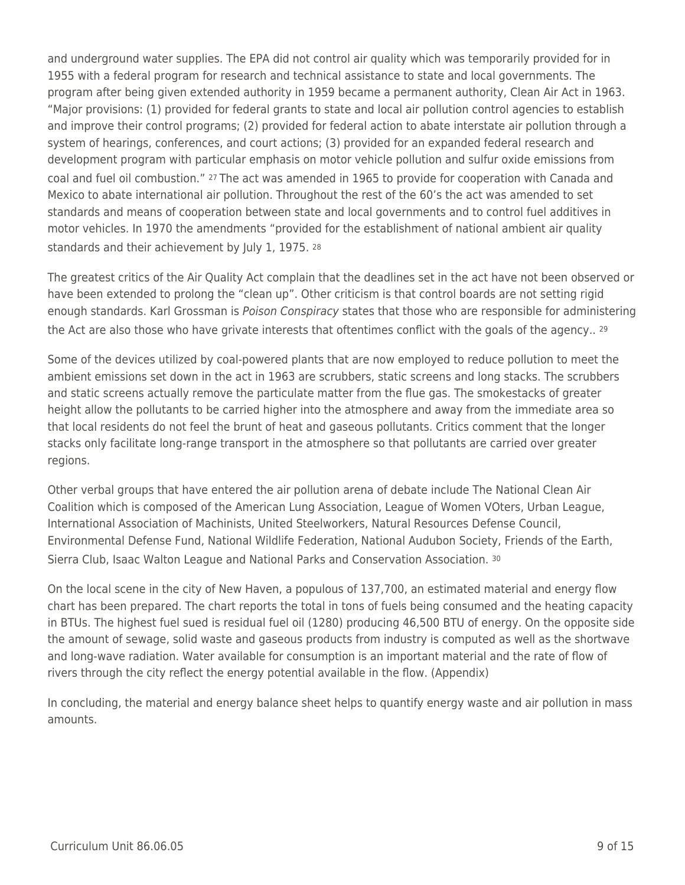and underground water supplies. The EPA did not control air quality which was temporarily provided for in 1955 with a federal program for research and technical assistance to state and local governments. The program after being given extended authority in 1959 became a permanent authority, Clean Air Act in 1963. "Major provisions: (1) provided for federal grants to state and local air pollution control agencies to establish and improve their control programs; (2) provided for federal action to abate interstate air pollution through a system of hearings, conferences, and court actions; (3) provided for an expanded federal research and development program with particular emphasis on motor vehicle pollution and sulfur oxide emissions from coal and fuel oil combustion." 27 The act was amended in 1965 to provide for cooperation with Canada and Mexico to abate international air pollution. Throughout the rest of the 60's the act was amended to set standards and means of cooperation between state and local governments and to control fuel additives in motor vehicles. In 1970 the amendments "provided for the establishment of national ambient air quality standards and their achievement by July 1, 1975, 28

The greatest critics of the Air Quality Act complain that the deadlines set in the act have not been observed or have been extended to prolong the "clean up". Other criticism is that control boards are not setting rigid enough standards. Karl Grossman is Poison Conspiracy states that those who are responsible for administering the Act are also those who have grivate interests that oftentimes conflict with the goals of the agency.. 29

Some of the devices utilized by coal-powered plants that are now employed to reduce pollution to meet the ambient emissions set down in the act in 1963 are scrubbers, static screens and long stacks. The scrubbers and static screens actually remove the particulate matter from the flue gas. The smokestacks of greater height allow the pollutants to be carried higher into the atmosphere and away from the immediate area so that local residents do not feel the brunt of heat and gaseous pollutants. Critics comment that the longer stacks only facilitate long-range transport in the atmosphere so that pollutants are carried over greater regions.

Other verbal groups that have entered the air pollution arena of debate include The National Clean Air Coalition which is composed of the American Lung Association, League of Women VOters, Urban League, International Association of Machinists, United Steelworkers, Natural Resources Defense Council, Environmental Defense Fund, National Wildlife Federation, National Audubon Society, Friends of the Earth, Sierra Club, Isaac Walton League and National Parks and Conservation Association. <sup>30</sup>

On the local scene in the city of New Haven, a populous of 137,700, an estimated material and energy flow chart has been prepared. The chart reports the total in tons of fuels being consumed and the heating capacity in BTUs. The highest fuel sued is residual fuel oil (1280) producing 46,500 BTU of energy. On the opposite side the amount of sewage, solid waste and gaseous products from industry is computed as well as the shortwave and long-wave radiation. Water available for consumption is an important material and the rate of flow of rivers through the city reflect the energy potential available in the flow. (Appendix)

In concluding, the material and energy balance sheet helps to quantify energy waste and air pollution in mass amounts.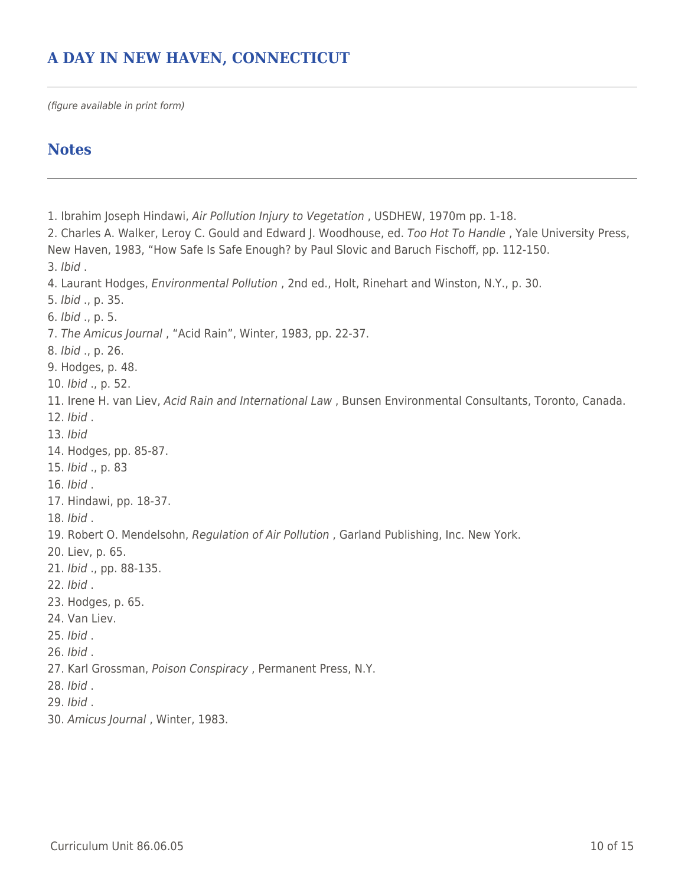# **A DAY IN NEW HAVEN, CONNECTICUT**

(figure available in print form)

## **Notes**

1. Ibrahim Joseph Hindawi, Air Pollution Injury to Vegetation , USDHEW, 1970m pp. 1-18. 2. Charles A. Walker, Leroy C. Gould and Edward J. Woodhouse, ed. Too Hot To Handle , Yale University Press, New Haven, 1983, "How Safe Is Safe Enough? by Paul Slovic and Baruch Fischoff, pp. 112-150. 3. Ibid . 4. Laurant Hodges, Environmental Pollution , 2nd ed., Holt, Rinehart and Winston, N.Y., p. 30. 5. Ibid ., p. 35. 6. Ibid ., p. 5. 7. The Amicus Journal , "Acid Rain", Winter, 1983, pp. 22-37. 8. Ibid ., p. 26. 9. Hodges, p. 48. 10. Ibid ., p. 52. 11. Irene H. van Liev, Acid Rain and International Law , Bunsen Environmental Consultants, Toronto, Canada. 12. Ibid . 13. Ibid 14. Hodges, pp. 85-87. 15. Ibid ., p. 83 16. Ibid . 17. Hindawi, pp. 18-37. 18. Ibid . 19. Robert O. Mendelsohn, Regulation of Air Pollution , Garland Publishing, Inc. New York. 20. Liev, p. 65. 21. Ibid ., pp. 88-135. 22. Ibid . 23. Hodges, p. 65. 24. Van Liev. 25. Ibid . 26. Ibid . 27. Karl Grossman, Poison Conspiracy, Permanent Press, N.Y. 28. Ibid . 29. Ibid . 30. Amicus Journal , Winter, 1983.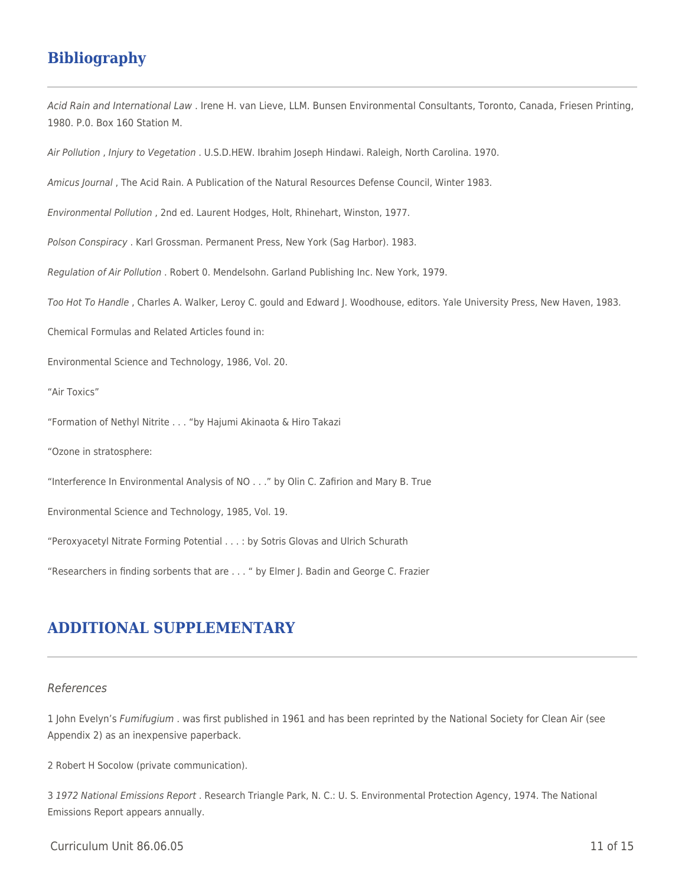# **Bibliography**

Acid Rain and International Law . Irene H. van Lieve, LLM. Bunsen Environmental Consultants, Toronto, Canada, Friesen Printing, 1980. P.0. Box 160 Station M.

Air Pollution , Injury to Vegetation . U.S.D.HEW. Ibrahim Joseph Hindawi. Raleigh, North Carolina. 1970.

Amicus Journal , The Acid Rain. A Publication of the Natural Resources Defense Council, Winter 1983.

Environmental Pollution , 2nd ed. Laurent Hodges, Holt, Rhinehart, Winston, 1977.

Polson Conspiracy . Karl Grossman. Permanent Press, New York (Sag Harbor). 1983.

Regulation of Air Pollution . Robert 0. Mendelsohn. Garland Publishing Inc. New York, 1979.

Too Hot To Handle , Charles A. Walker, Leroy C. gould and Edward J. Woodhouse, editors. Yale University Press, New Haven, 1983.

Chemical Formulas and Related Articles found in:

Environmental Science and Technology, 1986, Vol. 20.

"Air Toxics"

"Formation of Nethyl Nitrite . . . "by Hajumi Akinaota & Hiro Takazi

"Ozone in stratosphere:

"Interference In Environmental Analysis of NO . . ." by Olin C. Zafirion and Mary B. True

Environmental Science and Technology, 1985, Vol. 19.

"Peroxyacetyl Nitrate Forming Potential . . . : by Sotris Glovas and Ulrich Schurath

"Researchers in finding sorbents that are . . . " by Elmer J. Badin and George C. Frazier

### **ADDITIONAL SUPPLEMENTARY**

#### References

1 John Evelyn's Fumifugium . was first published in 1961 and has been reprinted by the National Society for Clean Air (see Appendix 2) as an inexpensive paperback.

2 Robert H Socolow (private communication).

3 1972 National Emissions Report . Research Triangle Park, N. C.: U. S. Environmental Protection Agency, 1974. The National Emissions Report appears annually.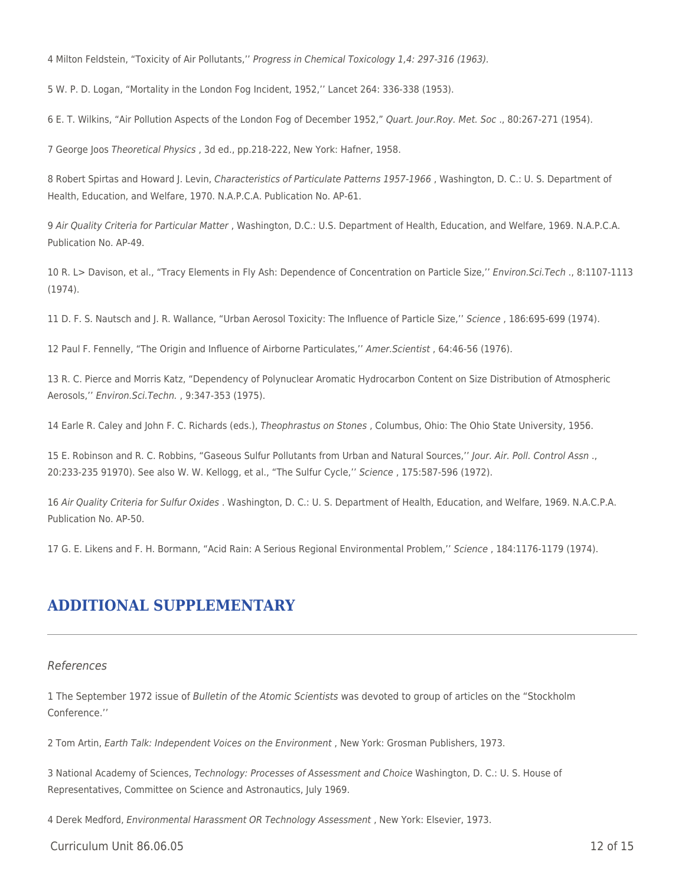4 Milton Feldstein, "Toxicity of Air Pollutants,'' Progress in Chemical Toxicology 1,4: 297-316 (1963).

5 W. P. D. Logan, "Mortality in the London Fog Incident, 1952,'' Lancet 264: 336-338 (1953).

6 E. T. Wilkins, "Air Pollution Aspects of the London Fog of December 1952," Quart. Jour.Roy. Met. Soc ., 80:267-271 (1954).

7 George Joos Theoretical Physics , 3d ed., pp.218-222, New York: Hafner, 1958.

8 Robert Spirtas and Howard J. Levin, Characteristics of Particulate Patterns 1957-1966 , Washington, D. C.: U. S. Department of Health, Education, and Welfare, 1970. N.A.P.C.A. Publication No. AP-61.

9 Air Quality Criteria for Particular Matter , Washington, D.C.: U.S. Department of Health, Education, and Welfare, 1969. N.A.P.C.A. Publication No. AP-49.

10 R. L> Davison, et al., "Tracy Elements in Fly Ash: Dependence of Concentration on Particle Size,'' Environ.Sci.Tech ., 8:1107-1113 (1974).

11 D. F. S. Nautsch and J. R. Wallance, "Urban Aerosol Toxicity: The Influence of Particle Size,'' Science , 186:695-699 (1974).

12 Paul F. Fennelly, "The Origin and Influence of Airborne Particulates,'' Amer.Scientist , 64:46-56 (1976).

13 R. C. Pierce and Morris Katz, "Dependency of Polynuclear Aromatic Hydrocarbon Content on Size Distribution of Atmospheric Aerosols,'' Environ.Sci.Techn. , 9:347-353 (1975).

14 Earle R. Caley and John F. C. Richards (eds.), Theophrastus on Stones , Columbus, Ohio: The Ohio State University, 1956.

15 E. Robinson and R. C. Robbins, "Gaseous Sulfur Pollutants from Urban and Natural Sources,'' Jour. Air. Poll. Control Assn ., 20:233-235 91970). See also W. W. Kellogg, et al., "The Sulfur Cycle,'' Science , 175:587-596 (1972).

16 Air Quality Criteria for Sulfur Oxides . Washington, D. C.: U. S. Department of Health, Education, and Welfare, 1969. N.A.C.P.A. Publication No. AP-50.

17 G. E. Likens and F. H. Bormann, "Acid Rain: A Serious Regional Environmental Problem,'' Science , 184:1176-1179 (1974).

### **ADDITIONAL SUPPLEMENTARY**

#### References

1 The September 1972 issue of Bulletin of the Atomic Scientists was devoted to group of articles on the "Stockholm Conference.''

2 Tom Artin, Earth Talk: Independent Voices on the Environment , New York: Grosman Publishers, 1973.

3 National Academy of Sciences, Technology: Processes of Assessment and Choice Washington, D. C.: U. S. House of Representatives, Committee on Science and Astronautics, July 1969.

4 Derek Medford, Environmental Harassment OR Technology Assessment , New York: Elsevier, 1973.

 $C$ urriculum Unit 86.06.05 12 of 15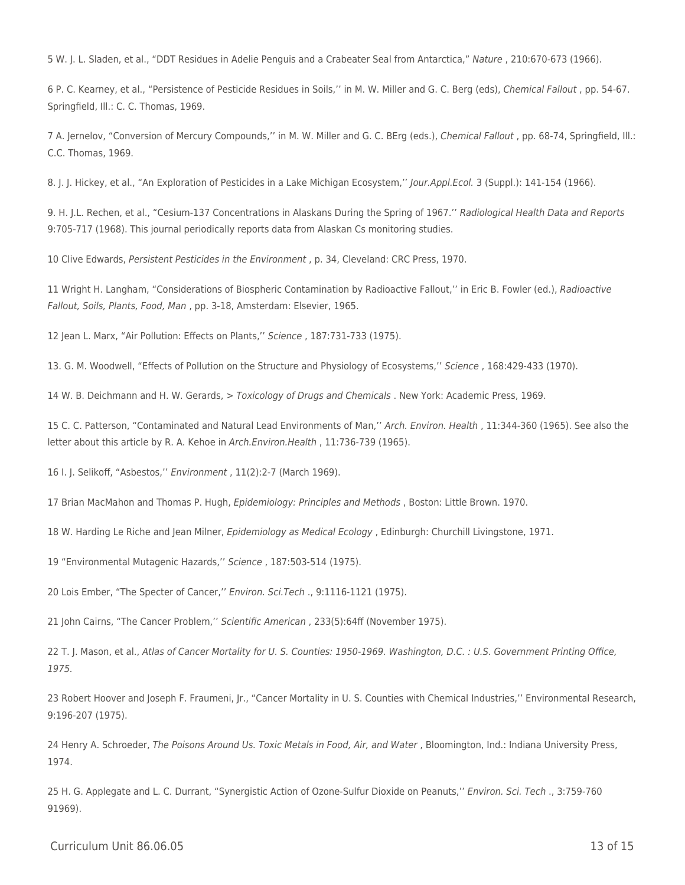5 W. J. L. Sladen, et al., "DDT Residues in Adelie Penguis and a Crabeater Seal from Antarctica," Nature , 210:670-673 (1966).

6 P. C. Kearney, et al., "Persistence of Pesticide Residues in Soils,'' in M. W. Miller and G. C. Berg (eds), Chemical Fallout , pp. 54-67. Springfield, Ill.: C. C. Thomas, 1969.

7 A. Jernelov, "Conversion of Mercury Compounds,'' in M. W. Miller and G. C. BErg (eds.), Chemical Fallout , pp. 68-74, Springfield, Ill.: C.C. Thomas, 1969.

8. J. J. Hickey, et al., "An Exploration of Pesticides in a Lake Michigan Ecosystem,'' Jour.Appl.Ecol. 3 (Suppl.): 141-154 (1966).

9. H. J.L. Rechen, et al., "Cesium-137 Concentrations in Alaskans During the Spring of 1967.'' Radiological Health Data and Reports 9:705-717 (1968). This journal periodically reports data from Alaskan Cs monitoring studies.

10 Clive Edwards, Persistent Pesticides in the Environment , p. 34, Cleveland: CRC Press, 1970.

11 Wright H. Langham, "Considerations of Biospheric Contamination by Radioactive Fallout,'' in Eric B. Fowler (ed.), Radioactive Fallout, Soils, Plants, Food, Man , pp. 3-18, Amsterdam: Elsevier, 1965.

12 Jean L. Marx, "Air Pollution: Effects on Plants,'' Science , 187:731-733 (1975).

13. G. M. Woodwell, "Effects of Pollution on the Structure and Physiology of Ecosystems,'' Science , 168:429-433 (1970).

14 W. B. Deichmann and H. W. Gerards, > Toxicology of Drugs and Chemicals . New York: Academic Press, 1969.

15 C. C. Patterson, "Contaminated and Natural Lead Environments of Man,'' Arch. Environ. Health , 11:344-360 (1965). See also the letter about this article by R. A. Kehoe in Arch.Environ.Health , 11:736-739 (1965).

16 I. J. Selikoff, "Asbestos,'' Environment , 11(2):2-7 (March 1969).

17 Brian MacMahon and Thomas P. Hugh, Epidemiology: Principles and Methods , Boston: Little Brown. 1970.

18 W. Harding Le Riche and Jean Milner, Epidemiology as Medical Ecology , Edinburgh: Churchill Livingstone, 1971.

19 "Environmental Mutagenic Hazards,'' Science , 187:503-514 (1975).

20 Lois Ember, "The Specter of Cancer,'' Environ. Sci.Tech ., 9:1116-1121 (1975).

21 John Cairns, "The Cancer Problem,'' Scientific American , 233(5):64ff (November 1975).

22 T. J. Mason, et al., Atlas of Cancer Mortality for U. S. Counties: 1950-1969. Washington, D.C. : U.S. Government Printing Office, 1975.

23 Robert Hoover and Joseph F. Fraumeni, Jr., "Cancer Mortality in U. S. Counties with Chemical Industries,'' Environmental Research, 9:196-207 (1975).

24 Henry A. Schroeder, The Poisons Around Us. Toxic Metals in Food, Air, and Water, Bloomington, Ind.: Indiana University Press, 1974.

25 H. G. Applegate and L. C. Durrant, "Synergistic Action of Ozone-Sulfur Dioxide on Peanuts,'' Environ. Sci. Tech ., 3:759-760 91969).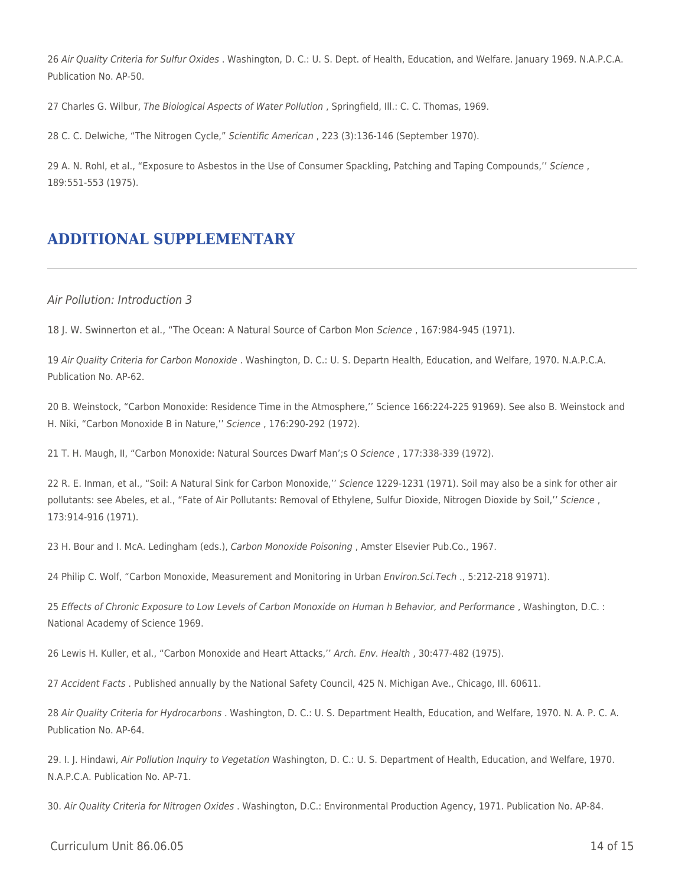26 Air Quality Criteria for Sulfur Oxides . Washington, D. C.: U. S. Dept. of Health, Education, and Welfare. January 1969. N.A.P.C.A. Publication No. AP-50.

27 Charles G. Wilbur, The Biological Aspects of Water Pollution , Springfield, Ill.: C. C. Thomas, 1969.

28 C. C. Delwiche, "The Nitrogen Cycle," Scientific American , 223 (3):136-146 (September 1970).

29 A. N. Rohl, et al., "Exposure to Asbestos in the Use of Consumer Spackling, Patching and Taping Compounds,'' Science , 189:551-553 (1975).

## **ADDITIONAL SUPPLEMENTARY**

#### Air Pollution: Introduction 3

18 J. W. Swinnerton et al., "The Ocean: A Natural Source of Carbon Mon Science , 167:984-945 (1971).

19 Air Quality Criteria for Carbon Monoxide . Washington, D. C.: U. S. Departn Health, Education, and Welfare, 1970. N.A.P.C.A. Publication No. AP-62.

20 B. Weinstock, "Carbon Monoxide: Residence Time in the Atmosphere,'' Science 166:224-225 91969). See also B. Weinstock and H. Niki, "Carbon Monoxide B in Nature,'' Science , 176:290-292 (1972).

21 T. H. Maugh, II, "Carbon Monoxide: Natural Sources Dwarf Man';s O Science , 177:338-339 (1972).

22 R. E. Inman, et al., "Soil: A Natural Sink for Carbon Monoxide,'' Science 1229-1231 (1971). Soil may also be a sink for other air pollutants: see Abeles, et al., "Fate of Air Pollutants: Removal of Ethylene, Sulfur Dioxide, Nitrogen Dioxide by Soil," Science, 173:914-916 (1971).

23 H. Bour and I. McA. Ledingham (eds.), Carbon Monoxide Poisoning , Amster Elsevier Pub.Co., 1967.

24 Philip C. Wolf, "Carbon Monoxide, Measurement and Monitoring in Urban Environ.Sci.Tech ., 5:212-218 91971).

25 Effects of Chronic Exposure to Low Levels of Carbon Monoxide on Human h Behavior, and Performance , Washington, D.C. : National Academy of Science 1969.

26 Lewis H. Kuller, et al., "Carbon Monoxide and Heart Attacks,'' Arch. Env. Health , 30:477-482 (1975).

27 Accident Facts . Published annually by the National Safety Council, 425 N. Michigan Ave., Chicago, Ill. 60611.

28 Air Quality Criteria for Hydrocarbons . Washington, D. C.: U. S. Department Health, Education, and Welfare, 1970. N. A. P. C. A. Publication No. AP-64.

29. I. J. Hindawi, Air Pollution Inquiry to Vegetation Washington, D. C.: U. S. Department of Health, Education, and Welfare, 1970. N.A.P.C.A. Publication No. AP-71.

30. Air Quality Criteria for Nitrogen Oxides . Washington, D.C.: Environmental Production Agency, 1971. Publication No. AP-84.

Curriculum Unit 86.06.05 14 of 15